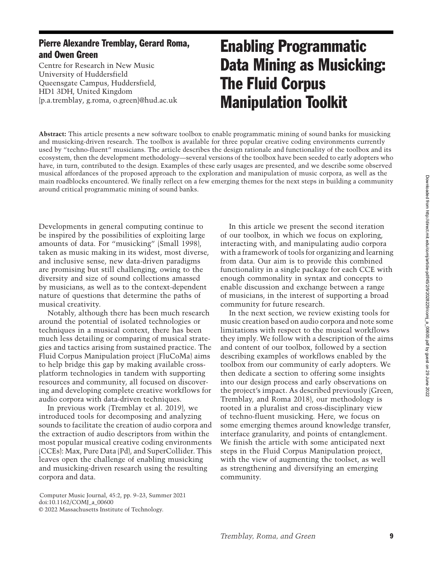# Pierre Alexandre Tremblay, Gerard Roma, and Owen Green

Centre for Research in New Music University of Huddersfield Queensgate Campus, Huddersfield, HD1 3DH, United Kingdom [{p.a.tremblay,](mailto:p.a.tremblay@hud.ac.uk) [g.roma,](mailto:g.roma@hud.ac.uk) [o.green}@hud.ac.uk](mailto:o.green@hud.ac.uk)

# Enabling Programmatic Data Mining as Musicking: The Fluid Corpus Manipulation Toolkit

**Abstract:** This article presents a new software toolbox to enable programmatic mining of sound banks for musicking and musicking-driven research. The toolbox is available for three popular creative coding environments currently used by "techno-fluent" musicians. The article describes the design rationale and functionality of the toolbox and its ecosystem, then the development methodology—several versions of the toolbox have been seeded to early adopters who have, in turn, contributed to the design. Examples of these early usages are presented, and we describe some observed musical affordances of the proposed approach to the exploration and manipulation of music corpora, as well as the main roadblocks encountered. We finally reflect on a few emerging themes for the next steps in building a community around critical programmatic mining of sound banks.

Developments in general computing continue to be inspired by the possibilities of exploiting large amounts of data. For "musicking" (Small [1998\)](#page-14-0), taken as music making in its widest, most diverse, and inclusive sense, new data-driven paradigms are promising but still challenging, owing to the diversity and size of sound collections amassed by musicians, as well as to the context-dependent nature of questions that determine the paths of musical creativity.

Notably, although there has been much research around the potential of isolated technologies or techniques in a musical context, there has been much less detailing or comparing of musical strategies and tactics arising from sustained practice. The Fluid Corpus Manipulation project (FluCoMa) aims to help bridge this gap by making available crossplatform technologies in tandem with supporting resources and community, all focused on discovering and developing complete creative workflows for audio corpora with data-driven techniques.

In previous work (Tremblay et al. [2019\)](#page-14-1), we introduced tools for decomposing and analyzing sounds to facilitate the creation of audio corpora and the extraction of audio descriptors from within the most popular musical creative coding environments (CCEs): Max, Pure Data (Pd), and SuperCollider. This leaves open the challenge of enabling musicking and musicking-driven research using the resulting corpora and data.

In this article we present the second iteration of our toolbox, in which we focus on exploring, interacting with, and manipulating audio corpora with a framework of tools for organizing and learning from data. Our aim is to provide this combined functionality in a single package for each CCE with enough commonality in syntax and concepts to enable discussion and exchange between a range of musicians, in the interest of supporting a broad community for future research.

In the next section, we review existing tools for music creation based on audio corpora and note some limitations with respect to the musical workflows they imply. We follow with a description of the aims and content of our toolbox, followed by a section describing examples of workflows enabled by the toolbox from our community of early adopters. We then dedicate a section to offering some insights into our design process and early observations on the project's impact. As described previously (Green, Tremblay, and Roma [2018\)](#page-13-0), our methodology is rooted in a pluralist and cross-disciplinary view of techno-fluent musicking. Here, we focus on some emerging themes around knowledge transfer, interface granularity, and points of entanglement. We finish the article with some anticipated next steps in the Fluid Corpus Manipulation project, with the view of augmenting the toolset, as well as strengthening and diversifying an emerging community.

Computer Music Journal, 45:2, pp. 9–23, Summer 2021 doi[:10.1162/COMJ\\_a\\_00600](https://doi.org/10.1162/COMJ_a_00600) © 2022 Massachusetts Institute of Technology.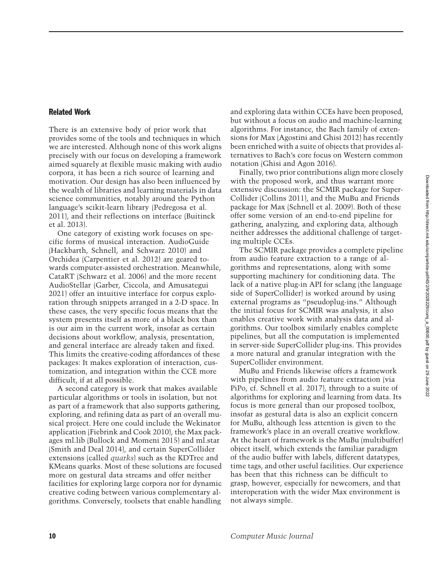# Related Work

There is an extensive body of prior work that provides some of the tools and techniques in which we are interested. Although none of this work aligns precisely with our focus on developing a framework aimed squarely at flexible music making with audio corpora, it has been a rich source of learning and motivation. Our design has also been influenced by the wealth of libraries and learning materials in data science communities, notably around the Python language's scikit-learn library (Pedregosa et al. [2011\)](#page-13-1), and their reflections on interface (Buitinck et al. [2013\)](#page-12-0).

One category of existing work focuses on specific forms of musical interaction. AudioGuide (Hackbarth, Schnell, and Schwarz [2010\)](#page-13-2) and Orchidea (Carpentier et al. [2012\)](#page-13-3) are geared towards computer-assisted orchestration. Meanwhile, CataRT (Schwarz et al. [2006\)](#page-14-2) and the more recent AudioStellar (Garber, Ciccola, and Amusategui [2021\)](#page-13-4) offer an intuitive interface for corpus exploration through snippets arranged in a 2-D space. In these cases, the very specific focus means that the system presents itself as more of a black box than is our aim in the current work, insofar as certain decisions about workflow, analysis, presentation, and general interface are already taken and fixed. This limits the creative-coding affordances of these packages: It makes exploration of interaction, customization, and integration within the CCE more difficult, if at all possible.

A second category is work that makes available particular algorithms or tools in isolation, but not as part of a framework that also supports gathering, exploring, and refining data as part of an overall musical project. Here one could include the Wekinator application (Fiebrink and Cook [2010\)](#page-13-5), the Max packages ml.lib (Bullock and Momeni [2015\)](#page-12-1) and ml.star (Smith and Deal [2014\)](#page-14-3), and certain SuperCollider extensions (called *quarks*) such as the KDTree and KMeans quarks. Most of these solutions are focused more on gestural data streams and offer neither facilities for exploring large corpora nor for dynamic creative coding between various complementary algorithms. Conversely, toolsets that enable handling

and exploring data within CCEs have been proposed, but without a focus on audio and machine-learning algorithms. For instance, the Bach family of extensions for Max (Agostini and Ghisi [2012\)](#page-12-2) has recently been enriched with a suite of objects that provides alternatives to Bach's core focus on Western common notation (Ghisi and Agon [2016\)](#page-13-6).

Finally, two prior contributions align more closely with the proposed work, and thus warrant more extensive discussion: the SCMIR package for Super-Collider (Collins [2011\)](#page-13-7), and the MuBu and Friends package for Max (Schnell et al. [2009\)](#page-14-4). Both of these offer some version of an end-to-end pipeline for gathering, analyzing, and exploring data, although neither addresses the additional challenge of targeting multiple CCEs.

The SCMIR package provides a complete pipeline from audio feature extraction to a range of algorithms and representations, along with some supporting machinery for conditioning data. The lack of a native plug-in API for sclang (the language side of SuperCollider) is worked around by using external programs as "pseudoplug-ins." Although the initial focus for SCMIR was analysis, it also enables creative work with analysis data and algorithms. Our toolbox similarly enables complete pipelines, but all the computation is implemented in server-side SuperCollider plug-ins. This provides a more natural and granular integration with the SuperCollider environment.

MuBu and Friends likewise offers a framework with pipelines from audio feature extraction (via PiPo, cf. Schnell et al. [2017\)](#page-14-5), through to a suite of algorithms for exploring and learning from data. Its focus is more general than our proposed toolbox, insofar as gestural data is also an explicit concern for MuBu, although less attention is given to the framework's place in an overall creative workflow. At the heart of framework is the MuBu (multibuffer) object itself, which extends the familiar paradigm of the audio buffer with labels, different datatypes, time tags, and other useful facilities. Our experience has been that this richness can be difficult to grasp, however, especially for newcomers, and that interoperation with the wider Max environment is not always simple.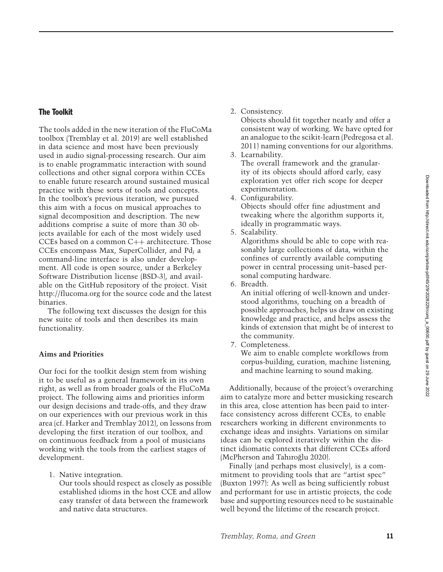# The Toolkit

The tools added in the new iteration of the FluCoMa toolbox (Tremblay et al. [2019\)](#page-14-1) are well established in data science and most have been previously used in audio signal-processing research. Our aim is to enable programmatic interaction with sound collections and other signal corpora within CCEs to enable future research around sustained musical practice with these sorts of tools and concepts. In the toolbox's previous iteration, we pursued this aim with a focus on musical approaches to signal decomposition and description. The new additions comprise a suite of more than 30 obiects available for each of the most widely used CCEs based on a common C++ architecture. Those CCEs encompass Max, SuperCollider, and Pd; a command-line interface is also under development. All code is open source, under a Berkeley Software Distribution license (BSD-3), and available on the GitHub repository of the project. Visit [http://flucoma](https://www.flucoma.org).org for the source code and the latest binaries.

The following text discusses the design for this new suite of tools and then describes its main functionality.

# **Aims and Priorities**

Our foci for the toolkit design stem from wishing it to be useful as a general framework in its own right, as well as from broader goals of the FluCoMa project. The following aims and priorities inform our design decisions and trade-offs, and they draw on our experiences with our previous work in this area (cf. Harker and Tremblay [2012\)](#page-13-8), on lessons from developing the first iteration of our toolbox, and on continuous feedback from a pool of musicians working with the tools from the earliest stages of development.

1. Native integration.

Our tools should respect as closely as possible established idioms in the host CCE and allow easy transfer of data between the framework and native data structures.

2. Consistency.

Objects should fit together neatly and offer a consistent way of working. We have opted for an analogue to the scikit-learn (Pedregosa et al. [2011\)](#page-13-1) naming conventions for our algorithms.

- 3. Learnability. The overall framework and the granularity of its objects should afford early, easy exploration yet offer rich scope for deeper experimentation.
- 4. Configurability. Objects should offer fine adjustment and tweaking where the algorithm supports it, ideally in programmatic ways.
- 5. Scalability.

Algorithms should be able to cope with reasonably large collections of data, within the confines of currently available computing power in central processing unit–based personal computing hardware.

6. Breadth.

An initial offering of well-known and understood algorithms, touching on a breadth of possible approaches, helps us draw on existing knowledge and practice, and helps assess the kinds of extension that might be of interest to the community.

7. Completeness.

We aim to enable complete workflows from corpus-building, curation, machine listening, and machine learning to sound making.

Additionally, because of the project's overarching aim to catalyze more and better musicking research in this area, close attention has been paid to interface consistency across different CCEs, to enable researchers working in different environments to exchange ideas and insights. Variations on similar ideas can be explored iteratively within the distinct idiomatic contexts that different CCEs afford (McPherson and Tahıroğlu [2020\)](#page-13-9).

Finally (and perhaps most elusively), is a commitment to providing tools that are "artist spec" (Buxton [1997\)](#page-13-10): As well as being sufficiently robust and performant for use in artistic projects, the code base and supporting resources need to be sustainable well beyond the lifetime of the research project.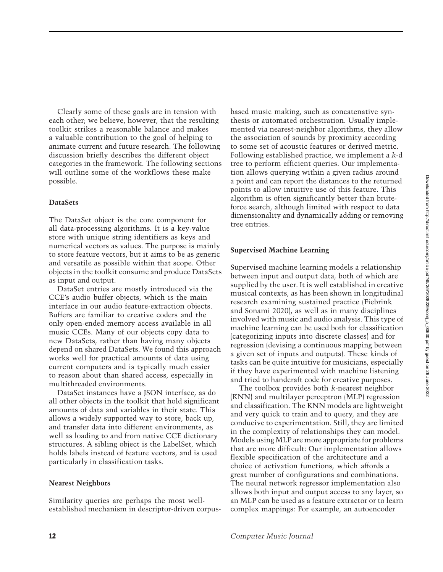Clearly some of these goals are in tension with each other; we believe, however, that the resulting toolkit strikes a reasonable balance and makes a valuable contribution to the goal of helping to animate current and future research. The following discussion briefly describes the different object categories in the framework. The following sections will outline some of the workflows these make possible.

## **DataSets**

The DataSet object is the core component for all data-processing algorithms. It is a key-value store with unique string identifiers as keys and numerical vectors as values. The purpose is mainly to store feature vectors, but it aims to be as generic and versatile as possible within that scope. Other objects in the toolkit consume and produce DataSets as input and output.

DataSet entries are mostly introduced via the CCE's audio buffer objects, which is the main interface in our audio feature-extraction objects. Buffers are familiar to creative coders and the only open-ended memory access available in all music CCEs. Many of our objects copy data to new DataSets, rather than having many objects depend on shared DataSets. We found this approach works well for practical amounts of data using current computers and is typically much easier to reason about than shared access, especially in multithreaded environments.

DataSet instances have a JSON interface, as do all other objects in the toolkit that hold significant amounts of data and variables in their state. This allows a widely supported way to store, back up, and transfer data into different environments, as well as loading to and from native CCE dictionary structures. A sibling object is the LabelSet, which holds labels instead of feature vectors, and is used particularly in classification tasks.

## **Nearest Neighbors**

Similarity queries are perhaps the most wellestablished mechanism in descriptor-driven corpusbased music making, such as concatenative synthesis or automated orchestration. Usually implemented via nearest-neighbor algorithms, they allow the association of sounds by proximity according to some set of acoustic features or derived metric. Following established practice, we implement a *k*-d tree to perform efficient queries. Our implementation allows querying within a given radius around a point and can report the distances to the returned points to allow intuitive use of this feature. This algorithm is often significantly better than bruteforce search, although limited with respect to data dimensionality and dynamically adding or removing tree entries.

## **Supervised Machine Learning**

Supervised machine learning models a relationship between input and output data, both of which are supplied by the user. It is well established in creative musical contexts, as has been shown in longitudinal research examining sustained practice (Fiebrink and Sonami [2020\)](#page-13-11), as well as in many disciplines involved with music and audio analysis. This type of machine learning can be used both for classification (categorizing inputs into discrete classes) and for regression (devising a continuous mapping between a given set of inputs and outputs). These kinds of tasks can be quite intuitive for musicians, especially if they have experimented with machine listening and tried to handcraft code for creative purposes.

The toolbox provides both *k*-nearest neighbor (KNN) and multilayer perceptron (MLP) regression and classification. The KNN models are lightweight and very quick to train and to query, and they are conducive to experimentation. Still, they are limited in the complexity of relationships they can model. Models using MLP are more appropriate for problems that are more difficult: Our implementation allows flexible specification of the architecture and a choice of activation functions, which affords a great number of configurations and combinations. The neural network regressor implementation also allows both input and output access to any layer, so an MLP can be used as a feature extractor or to learn complex mappings: For example, an autoencoder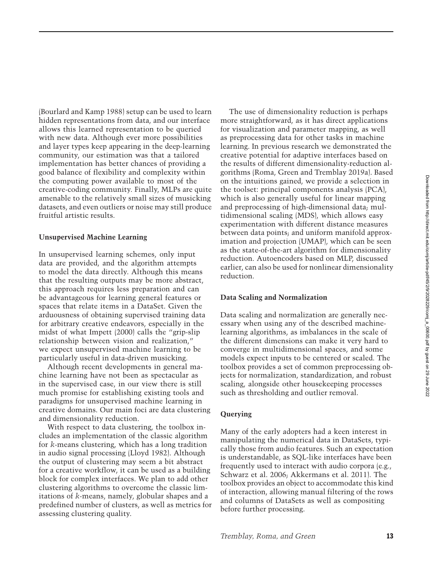(Bourlard and Kamp [1988\)](#page-12-3) setup can be used to learn hidden representations from data, and our interface allows this learned representation to be queried with new data. Although ever more possibilities and layer types keep appearing in the deep-learning community, our estimation was that a tailored implementation has better chances of providing a good balance of flexibility and complexity within the computing power available to most of the creative-coding community. Finally, MLPs are quite amenable to the relatively small sizes of musicking datasets, and even outliers or noise may still produce fruitful artistic results.

## **Unsupervised Machine Learning**

In unsupervised learning schemes, only input data are provided, and the algorithm attempts to model the data directly. Although this means that the resulting outputs may be more abstract, this approach requires less preparation and can be advantageous for learning general features or spaces that relate items in a DataSet. Given the arduousness of obtaining supervised training data for arbitrary creative endeavors, especially in the midst of what Impett [\(2000\)](#page-13-12) calls the "grip-slip relationship between vision and realization," we expect unsupervised machine learning to be particularly useful in data-driven musicking.

Although recent developments in general machine learning have not been as spectacular as in the supervised case, in our view there is still much promise for establishing existing tools and paradigms for unsupervised machine learning in creative domains. Our main foci are data clustering and dimensionality reduction.

With respect to data clustering, the toolbox includes an implementation of the classic algorithm for *k*-means clustering, which has a long tradition in audio signal processing (Lloyd [1982\)](#page-13-13). Although the output of clustering may seem a bit abstract for a creative workflow, it can be used as a building block for complex interfaces. We plan to add other clustering algorithms to overcome the classic limitations of *k*-means, namely, globular shapes and a predefined number of clusters, as well as metrics for assessing clustering quality.

The use of dimensionality reduction is perhaps more straightforward, as it has direct applications for visualization and parameter mapping, as well as preprocessing data for other tasks in machine learning. In previous research we demonstrated the creative potential for adaptive interfaces based on the results of different dimensionality-reduction algorithms (Roma, Green and Tremblay [2019a\)](#page-13-14). Based on the intuitions gained, we provide a selection in the toolset: principal components analysis (PCA), which is also generally useful for linear mapping and preprocessing of high-dimensional data; multidimensional scaling (MDS), which allows easy experimentation with different distance measures between data points; and uniform manifold approximation and projection (UMAP), which can be seen as the state-of-the-art algorithm for dimensionality reduction. Autoencoders based on MLP, discussed earlier, can also be used for nonlinear dimensionality reduction.

## **Data Scaling and Normalization**

Data scaling and normalization are generally necessary when using any of the described machinelearning algorithms, as imbalances in the scale of the different dimensions can make it very hard to converge in multidimensional spaces, and some models expect inputs to be centered or scaled. The toolbox provides a set of common preprocessing objects for normalization, standardization, and robust scaling, alongside other housekeeping processes such as thresholding and outlier removal.

## **Querying**

Many of the early adopters had a keen interest in manipulating the numerical data in DataSets, typically those from audio features. Such an expectation is understandable, as SQL-like interfaces have been frequently used to interact with audio corpora (e.g., Schwarz et al. [2006;](#page-14-2) Akkermans et al. [2011\)](#page-12-4). The toolbox provides an object to accommodate this kind of interaction, allowing manual filtering of the rows and columns of DataSets as well as compositing before further processing.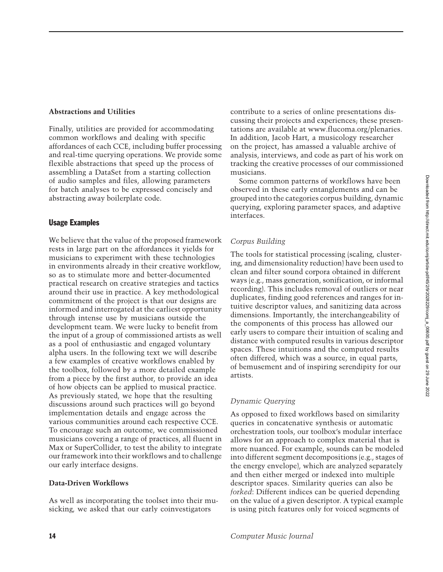# **Abstractions and Utilities**

Finally, utilities are provided for accommodating common workflows and dealing with specific affordances of each CCE, including buffer processing and real-time querying operations. We provide some flexible abstractions that speed up the process of assembling a DataSet from a starting collection of audio samples and files, allowing parameters for batch analyses to be expressed concisely and abstracting away boilerplate code.

# Usage Examples

We believe that the value of the proposed framework rests in large part on the affordances it yields for musicians to experiment with these technologies in environments already in their creative workflow, so as to stimulate more and better-documented practical research on creative strategies and tactics around their use in practice. A key methodological commitment of the project is that our designs are informed and interrogated at the earliest opportunity through intense use by musicians outside the development team. We were lucky to benefit from the input of a group of commissioned artists as well as a pool of enthusiastic and engaged voluntary alpha users. In the following text we will describe a few examples of creative workflows enabled by the toolbox, followed by a more detailed example from a piece by the first author, to provide an idea of how objects can be applied to musical practice. As previously stated, we hope that the resulting discussions around such practices will go beyond implementation details and engage across the various communities around each respective CCE. To encourage such an outcome, we commissioned musicians covering a range of practices, all fluent in Max or SuperCollider, to test the ability to integrate our framework into their workflows and to challenge our early interface designs.

# **Data-Driven Workflows**

As well as incorporating the toolset into their musicking, we asked that our early coinvestigators

contribute to a series of online presentations discussing their projects and experiences; these presentations are available at www.flucoma.[org/plenaries.](www.flucoma.org/plenaries) In addition, Jacob Hart, a musicology researcher on the project, has amassed a valuable archive of analysis, interviews, and code as part of his work on tracking the creative processes of our commissioned musicians.

Some common patterns of workflows have been observed in these early entanglements and can be grouped into the categories corpus building, dynamic querying, exploring parameter spaces, and adaptive interfaces.

# *Corpus Building*

The tools for statistical processing (scaling, clustering, and dimensionality reduction) have been used to clean and filter sound corpora obtained in different ways (e.g., mass generation, sonification, or informal recording). This includes removal of outliers or near duplicates, finding good references and ranges for intuitive descriptor values, and sanitizing data across dimensions. Importantly, the interchangeability of the components of this process has allowed our early users to compare their intuition of scaling and distance with computed results in various descriptor spaces. These intuitions and the computed results often differed, which was a source, in equal parts, of bemusement and of inspiring serendipity for our artists.

# *Dynamic Querying*

As opposed to fixed workflows based on similarity queries in concatenative synthesis or automatic orchestration tools, our toolbox's modular interface allows for an approach to complex material that is more nuanced. For example, sounds can be modeled into different segment decompositions (e.g., stages of the energy envelope), which are analyzed separately and then either merged or indexed into multiple descriptor spaces. Similarity queries can also be *forked*: Different indices can be queried depending on the value of a given descriptor. A typical example is using pitch features only for voiced segments of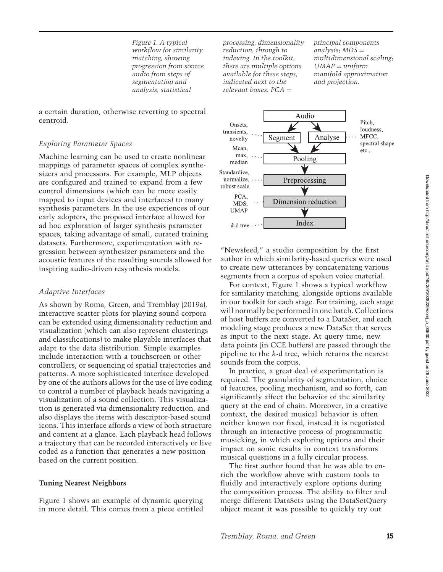*Figure 1. A typical workflow for similarity matching, showing progression from source audio from steps of segmentation and analysis, statistical*

a certain duration, otherwise reverting to spectral centroid.

## *Exploring Parameter Spaces*

Machine learning can be used to create nonlinear mappings of parameter spaces of complex synthesizers and processors. For example, MLP objects are configured and trained to expand from a few control dimensions (which can be more easily mapped to input devices and interfaces) to many synthesis parameters. In the use experiences of our early adopters, the proposed interface allowed for ad hoc exploration of larger synthesis parameter spaces, taking advantage of small, curated training datasets. Furthermore, experimentation with regression between synthesizer parameters and the acoustic features of the resulting sounds allowed for inspiring audio-driven resynthesis models.

## *Adaptive Interfaces*

As shown by Roma, Green, and Tremblay [\(2019a\)](#page-13-14), interactive scatter plots for playing sound corpora can be extended using dimensionality reduction and visualization (which can also represent clusterings and classifications) to make playable interfaces that adapt to the data distribution. Simple examples include interaction with a touchscreen or other controllers, or sequencing of spatial trajectories and patterns. A more sophisticated interface developed by one of the authors allows for the use of live coding to control a number of playback heads navigating a visualization of a sound collection. This visualization is generated via dimensionality reduction, and also displays the items with descriptor-based sound icons. This interface affords a view of both structure and content at a glance. Each playback head follows a trajectory that can be recorded interactively or live coded as a function that generates a new position based on the current position.

#### **Tuning Nearest Neighbors**

Figure [1](#page-6-0) shows an example of dynamic querying in more detail. This comes from a piece entitled *processing, dimensionality reduction, through to indexing. In the toolkit, there are multiple options available for these steps, indicated next to the relevant boxes. PCA* =

*principal components analysis; MDS* = *multidimensional scaling; UMAP* = *uniform manifold approximation and projection.*

<span id="page-6-0"></span>

"Newsfeed," a studio composition by the first author in which similarity-based queries were used to create new utterances by concatenating various segments from a corpus of spoken voice material.

For context, Figure [1](#page-6-0) shows a typical workflow for similarity matching, alongside options available in our toolkit for each stage. For training, each stage will normally be performed in one batch. Collections of host buffers are converted to a DataSet, and each modeling stage produces a new DataSet that serves as input to the next stage. At query time, new data points (in CCE buffers) are passed through the pipeline to the *k-*d tree, which returns the nearest sounds from the corpus.

In practice, a great deal of experimentation is required. The granularity of segmentation, choice of features, pooling mechanism, and so forth, can significantly affect the behavior of the similarity query at the end of chain. Moreover, in a creative context, the desired musical behavior is often neither known nor fixed, instead it is negotiated through an interactive process of programmatic musicking, in which exploring options and their impact on sonic results in context transforms musical questions in a fully circular process.

The first author found that he was able to enrich the workflow above with custom tools to fluidly and interactively explore options during the composition process. The ability to filter and merge different DataSets using the DataSetQuery object meant it was possible to quickly try out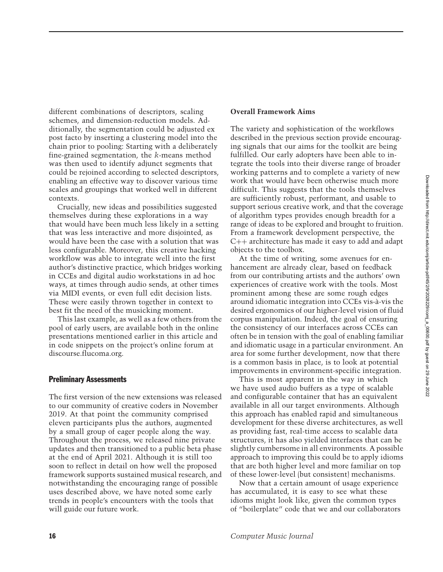different combinations of descriptors, scaling schemes, and dimension-reduction models. Additionally, the segmentation could be adjusted ex post facto by inserting a clustering model into the chain prior to pooling: Starting with a deliberately fine-grained segmentation, the *k*-means method was then used to identify adjunct segments that could be rejoined according to selected descriptors, enabling an effective way to discover various time scales and groupings that worked well in different contexts.

Crucially, new ideas and possibilities suggested themselves during these explorations in a way that would have been much less likely in a setting that was less interactive and more disjointed, as would have been the case with a solution that was less configurable. Moreover, this creative hacking workflow was able to integrate well into the first author's distinctive practice, which bridges working in CCEs and digital audio workstations in ad hoc ways, at times through audio sends, at other times via MIDI events, or even full edit decision lists. These were easily thrown together in context to best fit the need of the musicking moment.

This last example, as well as a few others from the pool of early users, are available both in the online presentations mentioned earlier in this article and in code snippets on the project's online forum at discourse.flucoma.org.

#### Preliminary Assessments

The first version of the new extensions was released to our community of creative coders in November 2019. At that point the community comprised eleven participants plus the authors, augmented by a small group of eager people along the way. Throughout the process, we released nine private updates and then transitioned to a public beta phase at the end of April 2021. Although it is still too soon to reflect in detail on how well the proposed framework supports sustained musical research, and notwithstanding the encouraging range of possible uses described above, we have noted some early trends in people's encounters with the tools that will guide our future work.

## **Overall Framework Aims**

The variety and sophistication of the workflows described in the previous section provide encouraging signals that our aims for the toolkit are being fulfilled. Our early adopters have been able to integrate the tools into their diverse range of broader working patterns and to complete a variety of new work that would have been otherwise much more difficult. This suggests that the tools themselves are sufficiently robust, performant, and usable to support serious creative work, and that the coverage of algorithm types provides enough breadth for a range of ideas to be explored and brought to fruition. From a framework development perspective, the C++ architecture has made it easy to add and adapt objects to the toolbox.

At the time of writing, some avenues for enhancement are already clear, based on feedback from our contributing artists and the authors' own experiences of creative work with the tools. Most prominent among these are some rough edges around idiomatic integration into CCEs vis-à-vis the desired ergonomics of our higher-level vision of fluid corpus manipulation. Indeed, the goal of ensuring the consistency of our interfaces across CCEs can often be in tension with the goal of enabling familiar and idiomatic usage in a particular environment. An area for some further development, now that there is a common basis in place, is to look at potential improvements in environment-specific integration.

This is most apparent in the way in which we have used audio buffers as a type of scalable and configurable container that has an equivalent available in all our target environments. Although this approach has enabled rapid and simultaneous development for these diverse architectures, as well as providing fast, real-time access to scalable data structures, it has also yielded interfaces that can be slightly cumbersome in all environments. A possible approach to improving this could be to apply idioms that are both higher level and more familiar on top of these lower-level (but consistent) mechanisms.

Now that a certain amount of usage experience has accumulated, it is easy to see what these idioms might look like, given the common types of "boilerplate" code that we and our collaborators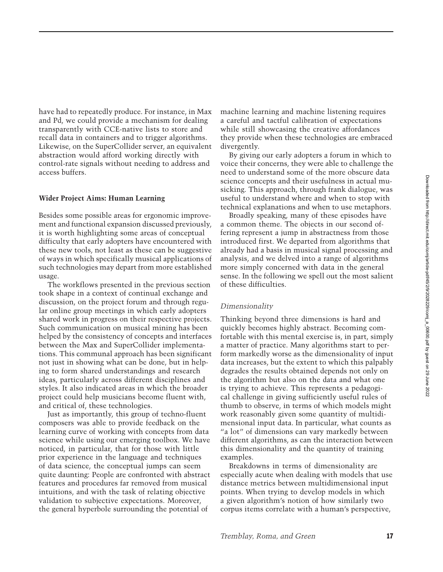have had to repeatedly produce. For instance, in Max and Pd, we could provide a mechanism for dealing transparently with CCE-native lists to store and recall data in containers and to trigger algorithms. Likewise, on the SuperCollider server, an equivalent abstraction would afford working directly with control-rate signals without needing to address and access buffers.

# **Wider Project Aims: Human Learning**

Besides some possible areas for ergonomic improvement and functional expansion discussed previously, it is worth highlighting some areas of conceptual difficulty that early adopters have encountered with these new tools, not least as these can be suggestive of ways in which specifically musical applications of such technologies may depart from more established usage.

The workflows presented in the previous section took shape in a context of continual exchange and discussion, on the project forum and through regular online group meetings in which early adopters shared work in progress on their respective projects. Such communication on musical mining has been helped by the consistency of concepts and interfaces between the Max and SuperCollider implementations. This communal approach has been significant not just in showing what can be done, but in helping to form shared understandings and research ideas, particularly across different disciplines and styles. It also indicated areas in which the broader project could help musicians become fluent with, and critical of, these technologies.

Just as importantly, this group of techno-fluent composers was able to provide feedback on the learning curve of working with concepts from data science while using our emerging toolbox. We have noticed, in particular, that for those with little prior experience in the language and techniques of data science, the conceptual jumps can seem quite daunting: People are confronted with abstract features and procedures far removed from musical intuitions, and with the task of relating objective validation to subjective expectations. Moreover, the general hyperbole surrounding the potential of

machine learning and machine listening requires a careful and tactful calibration of expectations while still showcasing the creative affordances they provide when these technologies are embraced divergently.

By giving our early adopters a forum in which to voice their concerns, they were able to challenge the need to understand some of the more obscure data science concepts and their usefulness in actual musicking. This approach, through frank dialogue, was useful to understand where and when to stop with technical explanations and when to use metaphors.

Broadly speaking, many of these episodes have a common theme. The objects in our second offering represent a jump in abstractness from those introduced first. We departed from algorithms that already had a basis in musical signal processing and analysis, and we delved into a range of algorithms more simply concerned with data in the general sense. In the following we spell out the most salient of these difficulties.

#### *Dimensionality*

Thinking beyond three dimensions is hard and quickly becomes highly abstract. Becoming comfortable with this mental exercise is, in part, simply a matter of practice. Many algorithms start to perform markedly worse as the dimensionality of input data increases, but the extent to which this palpably degrades the results obtained depends not only on the algorithm but also on the data and what one is trying to achieve. This represents a pedagogical challenge in giving sufficiently useful rules of thumb to observe, in terms of which models might work reasonably given some quantity of multidimensional input data. In particular, what counts as "a lot" of dimensions can vary markedly between different algorithms, as can the interaction between this dimensionality and the quantity of training examples.

Breakdowns in terms of dimensionality are especially acute when dealing with models that use distance metrics between multidimensional input points. When trying to develop models in which a given algorithm's notion of how similarly two corpus items correlate with a human's perspective,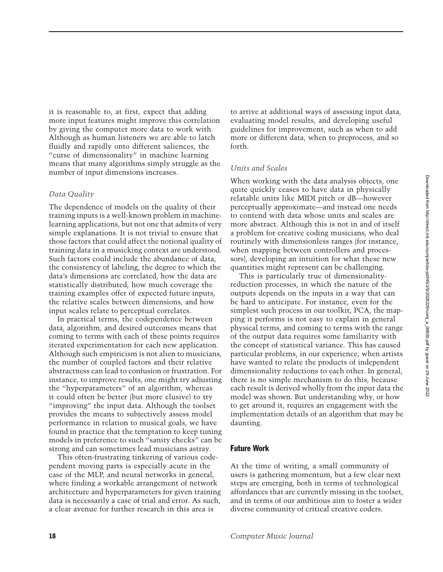it is reasonable to, at first, expect that adding more input features might improve this correlation by giving the computer more data to work with. Although as human listeners we are able to latch fluidly and rapidly onto different saliences, the "curse of dimensionality" in machine learning means that many algorithms simply struggle as the number of input dimensions increases.

## *Data Quality*

The dependence of models on the quality of their training inputs is a well-known problem in machinelearning applications, but not one that admits of very simple explanations. It is not trivial to ensure that those factors that could affect the notional quality of training data in a musicking context are understood. Such factors could include the abundance of data, the consistency of labeling, the degree to which the data's dimensions are correlated, how the data are statistically distributed, how much coverage the training examples offer of expected future inputs, the relative scales between dimensions, and how input scales relate to perceptual correlates.

In practical terms, the codependence between data, algorithm, and desired outcomes means that coming to terms with each of these points requires iterated experimentation for each new application. Although such empiricism is not alien to musicians, the number of coupled factors and their relative abstractness can lead to confusion or frustration. For instance, to improve results, one might try adjusting the "hyperparameters" of an algorithm, whereas it could often be better (but more elusive) to try "improving" the input data. Although the toolset provides the means to subjectively assess model performance in relation to musical goals, we have found in practice that the temptation to keep tuning models in preference to such "sanity checks" can be strong and can sometimes lead musicians astray.

This often-frustrating tinkering of various codependent moving parts is especially acute in the case of the MLP, and neural networks in general, where finding a workable arrangement of network architecture and hyperparameters for given training data is necessarily a case of trial and error. As such, a clear avenue for further research in this area is

to arrive at additional ways of assessing input data, evaluating model results, and developing useful guidelines for improvement, such as when to add more or different data, when to preprocess, and so forth.

## *Units and Scales*

When working with the data analysis objects, one quite quickly ceases to have data in physically relatable units like MIDI pitch or dB—however perceptually approximate—and instead one needs to contend with data whose units and scales are more abstract. Although this is not in and of itself a problem for creative coding musicians, who deal routinely with dimensionless ranges (for instance, when mapping between controllers and processors), developing an intuition for what these new quantities might represent can be challenging.

This is particularly true of dimensionalityreduction processes, in which the nature of the outputs depends on the inputs in a way that can be hard to anticipate. For instance, even for the simplest such process in our toolkit, PCA, the mapping it performs is not easy to explain in general physical terms, and coming to terms with the range of the output data requires some familiarity with the concept of statistical variance. This has caused particular problems, in our experience, when artists have wanted to relate the products of independent dimensionality reductions to each other. In general, there is no simple mechanism to do this, because each result is derived wholly from the input data the model was shown. But understanding why, or how to get around it, requires an engagement with the implementation details of an algorithm that may be daunting.

# Future Work

At the time of writing, a small community of users is gathering momentum, but a few clear next steps are emerging, both in terms of technological affordances that are currently missing in the toolset, and in terms of our ambitious aim to foster a wider diverse community of critical creative coders.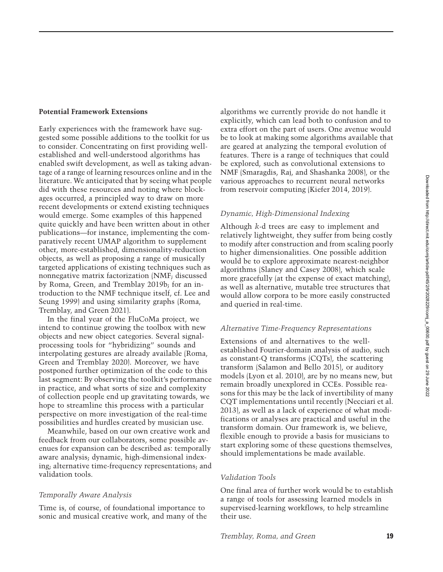# **Potential Framework Extensions**

Early experiences with the framework have suggested some possible additions to the toolkit for us to consider. Concentrating on first providing wellestablished and well-understood algorithms has enabled swift development, as well as taking advantage of a range of learning resources online and in the literature. We anticipated that by seeing what people did with these resources and noting where blockages occurred, a principled way to draw on more recent developments or extend existing techniques would emerge. Some examples of this happened quite quickly and have been written about in other publications—for instance, implementing the comparatively recent UMAP algorithm to supplement other, more-established, dimensionality-reduction objects, as well as proposing a range of musically targeted applications of existing techniques such as nonnegative matrix factorization (NMF; discussed by Roma, Green, and Tremblay [2019b;](#page-13-15) for an introduction to the NMF technique itself, cf. Lee and Seung [1999\)](#page-13-16) and using similarity graphs (Roma, Tremblay, and Green [2021\)](#page-13-17).

In the final year of the FluCoMa project, we intend to continue growing the toolbox with new objects and new object categories. Several signalprocessing tools for "hybridizing" sounds and interpolating gestures are already available (Roma, Green and Tremblay [2020\)](#page-13-18). Moreover, we have postponed further optimization of the code to this last segment: By observing the toolkit's performance in practice, and what sorts of size and complexity of collection people end up gravitating towards, we hope to streamline this process with a particular perspective on more investigation of the real-time possibilities and hurdles created by musician use.

Meanwhile, based on our own creative work and feedback from our collaborators, some possible avenues for expansion can be described as: temporally aware analysis; dynamic, high-dimensional indexing; alternative time-frequency representations; and validation tools.

## *Temporally Aware Analysis*

Time is, of course, of foundational importance to sonic and musical creative work, and many of the algorithms we currently provide do not handle it explicitly, which can lead both to confusion and to extra effort on the part of users. One avenue would be to look at making some algorithms available that are geared at analyzing the temporal evolution of features. There is a range of techniques that could be explored, such as convolutional extensions to NMF (Smaragdis, Raj, and Shashanka [2008\)](#page-14-6), or the various approaches to recurrent neural networks from reservoir computing (Kiefer [2014,](#page-13-19) [2019\)](#page-13-20).

## *Dynamic, High-Dimensional Indexing*

Although *k*-d trees are easy to implement and relatively lightweight, they suffer from being costly to modify after construction and from scaling poorly to higher dimensionalities. One possible addition would be to explore approximate nearest-neighbor algorithms (Slaney and Casey [2008\)](#page-14-7), which scale more gracefully (at the expense of exact matching), as well as alternative, mutable tree structures that would allow corpora to be more easily constructed and queried in real-time.

#### *Alternative Time-Frequency Representations*

Extensions of and alternatives to the wellestablished Fourier-domain analysis of audio, such as constant-Q transforms (CQTs), the scattering transform (Salamon and Bello [2015\)](#page-13-21), or auditory models (Lyon et al. [2010\)](#page-13-22), are by no means new, but remain broadly unexplored in CCEs. Possible reasons for this may be the lack of invertibility of many CQT implementations until recently (Necciari et al. [2013\)](#page-13-23), as well as a lack of experience of what modifications or analyses are practical and useful in the transform domain. Our framework is, we believe, flexible enough to provide a basis for musicians to start exploring some of these questions themselves, should implementations be made available.

#### *Validation Tools*

One final area of further work would be to establish a range of tools for assessing learned models in supervised-learning workflows, to help streamline their use.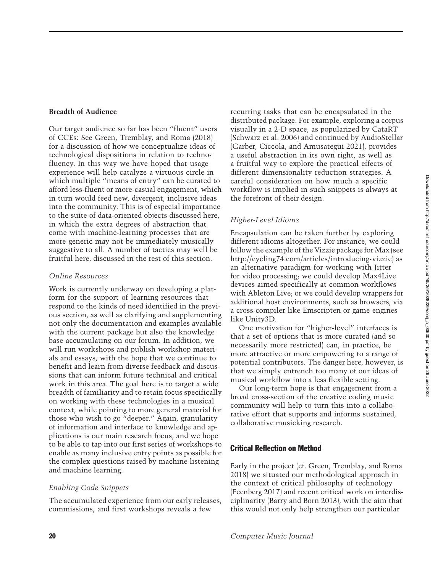Downloaded from http://direct.mit.edu/comj/article-pdf/45/2/9/2029/comj\_a\_00600.pdf by guest on 29 June 2022 Downloaded from http://direct.mit.edu/comj/article-pdf/45/2/9/2028229/comj\_a\_00600.pdf by guest on 29 June 2022

# **Breadth of Audience**

Our target audience so far has been "fluent" users of CCEs: See Green, Tremblay, and Roma [\(2018\)](#page-13-0) for a discussion of how we conceptualize ideas of technological dispositions in relation to technofluency. In this way we have hoped that usage experience will help catalyze a virtuous circle in which multiple "means of entry" can be curated to afford less-fluent or more-casual engagement, which in turn would feed new, divergent, inclusive ideas into the community. This is of especial importance to the suite of data-oriented objects discussed here, in which the extra degrees of abstraction that come with machine-learning processes that are more generic may not be immediately musically suggestive to all. A number of tactics may well be fruitful here, discussed in the rest of this section.

# *Online Resources*

Work is currently underway on developing a platform for the support of learning resources that respond to the kinds of need identified in the previous section, as well as clarifying and supplementing not only the documentation and examples available with the current package but also the knowledge base accumulating on our forum. In addition, we will run workshops and publish workshop materials and essays, with the hope that we continue to benefit and learn from diverse feedback and discussions that can inform future technical and critical work in this area. The goal here is to target a wide breadth of familiarity and to retain focus specifically on working with these technologies in a musical context, while pointing to more general material for those who wish to go "deeper." Again, granularity of information and interface to knowledge and applications is our main research focus, and we hope to be able to tap into our first series of workshops to enable as many inclusive entry points as possible for the complex questions raised by machine listening and machine learning.

# *Enabling Code Snippets*

The accumulated experience from our early releases, commissions, and first workshops reveals a few

recurring tasks that can be encapsulated in the distributed package. For example, exploring a corpus visually in a 2-D space, as popularized by CataRT (Schwarz et al. [2006\)](#page-14-2) and continued by AudioStellar (Garber, Ciccola, and Amusategui [2021\)](#page-13-4), provides a useful abstraction in its own right, as well as a fruitful way to explore the practical effects of different dimensionality reduction strategies. A careful consideration on how much a specific workflow is implied in such snippets is always at the forefront of their design.

# *Higher-Level Idioms*

Encapsulation can be taken further by exploring different idioms altogether. For instance, we could follow the example of the Vizzie package for Max (see http://cycling74.[com/articles/introducing-vizzie\)](http://cycling74.com/articles/introducing-vizzie) as an alternative paradigm for working with Jitter for video processing; we could develop Max4Live devices aimed specifically at common workflows with Ableton Live; or we could develop wrappers for additional host environments, such as browsers, via a cross-compiler like Emscripten or game engines like Unity3D.

One motivation for "higher-level" interfaces is that a set of options that is more curated (and so necessarily more restricted) can, in practice, be more attractive or more empowering to a range of potential contributors. The danger here, however, is that we simply entrench too many of our ideas of musical workflow into a less flexible setting.

Our long-term hope is that engagement from a broad cross-section of the creative coding music community will help to turn this into a collaborative effort that supports and informs sustained, collaborative musicking research.

# Critical Reflection on Method

Early in the project (cf. Green, Tremblay, and Roma [2018\)](#page-13-0) we situated our methodological approach in the context of critical philosophy of technology (Feenberg [2017\)](#page-13-24) and recent critical work on interdisciplinarity (Barry and Born [2013\)](#page-12-5), with the aim that this would not only help strengthen our particular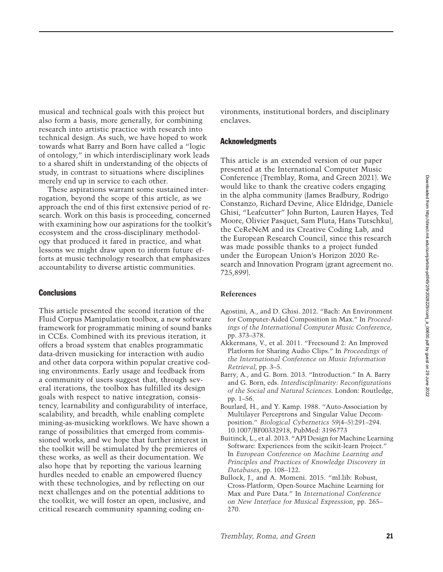musical and technical goals with this project but also form a basis, more generally, for combining research into artistic practice with research into technical design. As such, we have hoped to work towards what Barry and Born have called a "logic of ontology," in which interdisciplinary work leads to a shared shift in understanding of the objects of study, in contrast to situations where disciplines merely end up in service to each other.

These aspirations warrant some sustained interrogation, beyond the scope of this article, as we approach the end of this first extensive period of research. Work on this basis is proceeding, concerned with examining how our aspirations for the toolkit's ecosystem and the cross-disciplinary methodology that produced it fared in practice, and what lessons we might draw upon to inform future efforts at music technology research that emphasizes accountability to diverse artistic communities.

# **Conclusions**

This article presented the second iteration of the Fluid Corpus Manipulation toolbox, a new software framework for programmatic mining of sound banks in CCEs. Combined with its previous iteration, it offers a broad system that enables programmatic data-driven musicking for interaction with audio and other data corpora within popular creative coding environments. Early usage and feedback from a community of users suggest that, through several iterations, the toolbox has fulfilled its design goals with respect to native integration, consistency, learnability and configurability of interface, scalability, and breadth, while enabling complete mining-as-musicking workflows. We have shown a range of possibilities that emerged from commissioned works, and we hope that further interest in the toolkit will be stimulated by the premieres of these works, as well as their documentation. We also hope that by reporting the various learning hurdles needed to enable an empowered fluency with these technologies, and by reflecting on our next challenges and on the potential additions to the toolkit, we will foster an open, inclusive, and critical research community spanning coding environments, institutional borders, and disciplinary enclaves.

#### Acknowledgments

This article is an extended version of our paper presented at the International Computer Music Conference (Tremblay, Roma, and Green [2021\)](#page-14-8). We would like to thank the creative coders engaging in the alpha community (James Bradbury, Rodrigo Constanzo, Richard Devine, Alice Eldridge, Daniele Ghisi, "Leafcutter" John Burton, Lauren Hayes, Ted Moore, Olivier Pasquet, Sam Pluta, Hans Tutschku), the CeReNeM and its Creative Coding Lab, and the European Research Council, since this research was made possible thanks to a project funded under the European Union's Horizon 2020 Research and Innovation Program (grant agreement no. 725,899).

## **References**

- <span id="page-12-2"></span>Agostini, A., and D. Ghisi. 2012. "Bach: An Environment for Computer-Aided Composition in Max." In *Proceedings of the International Computer Music Conference*, pp. 373–378.
- <span id="page-12-4"></span>Akkermans, V., et al. 2011. "Freesound 2: An Improved Platform for Sharing Audio Clips." In *Proceedings of the International Conference on Music Information Retrieval*, pp. 3–5.
- <span id="page-12-5"></span>Barry, A., and G. Born. 2013. "Introduction." In A. Barry and G. Born, eds. *Interdisciplinarity: Reconfigurations of the Social and Natural Sciences.* London: Routledge, pp. 1–56.
- <span id="page-12-3"></span>Bourlard, H., and Y. Kamp. 1988. "Auto-Association by Multilayer Perceptrons and Singular Value Decomposition." *Biological Cybernetics* 59(4–5):291–294. 10.[1007/BF00332918,](https://doi.org/10.1007/BF00332918) PubMed: [3196773](https://www.ncbi.nlm.nih.gov/pubmed/3196773)
- <span id="page-12-0"></span>Buitinck, L., et al. 2013. "API Design for Machine Learning Software: Experiences from the scikit-learn Project." In *European Conference on Machine Learning and Principles and Practices of Knowledge Discovery in Databases*, pp. 108–122.
- <span id="page-12-1"></span>Bullock, J., and A. Momeni. 2015. "ml.lib: Robust, Cross-Platform, Open-Source Machine Learning for Max and Pure Data." In *International Conference on New Interface for Musical Expression*, pp. 265– 270.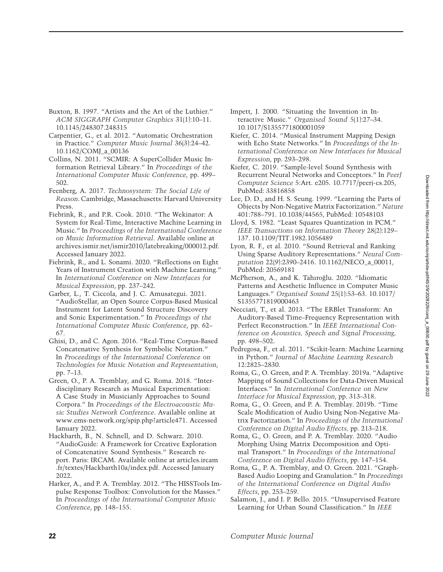- <span id="page-13-10"></span>Buxton, B. 1997. "Artists and the Art of the Luthier." *ACM SIGGRAPH Computer Graphics* 31(1):10–11. 10.[1145/248307](https://doi.org/10.1145/248307.248315).248315
- <span id="page-13-3"></span>Carpentier, G., et al. 2012. "Automatic Orchestration in Practice." *Computer Music Journal* 36(3):24–42. 10.[1162/COMJ\\_a\\_00136](https://doi.org/10.1162/COMJ_a_00136)
- <span id="page-13-7"></span>Collins, N. 2011. "SCMIR: A SuperCollider Music Information Retrieval Library." In *Proceedings of the International Computer Music Conference*, pp. 499– 502.
- <span id="page-13-24"></span>Feenberg, A. 2017. *Technosystem: The Social Life of Reason*. Cambridge, Massachusetts: Harvard University Press.
- <span id="page-13-5"></span>Fiebrink, R., and P.R. Cook. 2010. "The Wekinator: A System for Real-Time, Interactive Machine Learning in Music." In *Proceedings of the International Conference on Music Information Retrieval*. Available online at archives.ismir.[net/ismir2010/latebreaking/000012](archives.ismir.net/ismir2010/latebreaking/000012.pdf).pdf. Accessed January 2022.
- <span id="page-13-11"></span>Fiebrink, R., and L. Sonami. 2020. "Reflections on Eight Years of Instrument Creation with Machine Learning." In *International Conference on New Interfaces for Musical Expression*, pp. 237–242.
- <span id="page-13-4"></span>Garber, L., T. Ciccola, and J. C. Amusategui. 2021. "AudioStellar, an Open Source Corpus-Based Musical Instrument for Latent Sound Structure Discovery and Sonic Experimentation." In *Proceedings of the International Computer Music Conference*, pp. 62– 67.
- <span id="page-13-6"></span>Ghisi, D., and C. Agon. 2016. "Real-Time Corpus-Based Concatenative Synthesis for Symbolic Notation." In *Proceedings of the International Conference on Technologies for Music Notation and Representation*, pp. 7–13.
- <span id="page-13-0"></span>Green, O., P. A. Tremblay, and G. Roma. 2018. "Interdisciplinary Research as Musical Experimentation: A Case Study in Musicianly Approaches to Sound Corpora." In *Proceedings of the Electroacoustic Music Studies Network Conference*. Available online at www.ems-network.org/spip.[php?article471.](www.ems-network.org/spip.php?article471) Accessed January 2022.
- <span id="page-13-2"></span>Hackbarth, B., N. Schnell, and D. Schwarz. 2010. "AudioGuide: A Framework for Creative Exploration of Concatenative Sound Synthesis." Research re[port. Paris: IRCAM. Available online at articles](articles.ircam.fr/textes/Hackbarth10a/index.pdf).ircam .fr/textes/Hackbarth10a/index.pdf. Accessed January 2022.
- <span id="page-13-8"></span>Harker, A., and P. A. Tremblay. 2012. "The HISSTools Impulse Response Toolbox: Convolution for the Masses." In *Proceedings of the International Computer Music Conference*, pp. 148–155.
- <span id="page-13-12"></span>Impett, J. 2000. "Situating the Invention in Interactive Music." *Organised Sound* 5(1):27–34. 10.[1017/S1355771800001059](https://doi.org/10.1017/S1355771800001059)
- <span id="page-13-19"></span>Kiefer, C. 2014. "Musical Instrument Mapping Design with Echo State Networks." In *Proceedings of the International Conference on New Interfaces for Musical Expression*, pp. 293–298.
- <span id="page-13-20"></span>Kiefer, C. 2019. "Sample-level Sound Synthesis with Recurrent Neural Networks and Conceptors." In *PeerJ Computer Science* 5:Art. e205. 10.[7717/peerj-cs](https://doi.org/10.7717/peerj-cs.205).205, PubMed: [33816858](https://www.ncbi.nlm.nih.gov/pubmed/33816858)
- <span id="page-13-16"></span>Lee, D. D., and H. S. Seung. 1999. "Learning the Parts of Objects by Non-Negative Matrix Factorization." *Nature* 401:788–791. 10.[1038/44565,](https://doi.org/10.1038/44565) PubMed: [10548103](https://www.ncbi.nlm.nih.gov/pubmed/10548103)
- <span id="page-13-13"></span>Lloyd, S. 1982. "Least Squares Quantization in PCM." *IEEE Transactions on Information Theory* 28(2):129– 137. 10.[1109/TIT](https://doi.org/10.1109/TIT.1982.1056489).1982.1056489
- <span id="page-13-22"></span>Lyon, R. F., et al. 2010. "Sound Retrieval and Ranking Using Sparse Auditory Representations." *Neural Computation* 22(9):2390–2416. 10.[1162/NECO\\_a\\_00011,](https://doi.org/10.1162/NECO_a_00011) PubMed: [20569181](https://www.ncbi.nlm.nih.gov/pubmed/20569181)
- <span id="page-13-9"></span>McPherson, A., and K. Tahıroğlu. 2020. "Idiomatic Patterns and Aesthetic Influence in Computer Music Languages." *Organised Sound* 25(1):53–63. 10.1017/ [S1355771819000463](https://doi.org/10.1017/S1355771819000463)
- <span id="page-13-23"></span>Necciari, T., et al. 2013. "The ERBlet Transform: An Auditory-Based Time–Frequency Representation with Perfect Reconstruction." In *IEEE International Conference on Acoustics, Speech and Signal Processing,* pp. 498–502.
- <span id="page-13-1"></span>Pedregosa, F., et al. 2011. "Scikit-learn: Machine Learning in Python." *Journal of Machine Learning Research* 12:2825–2830.
- <span id="page-13-14"></span>Roma, G., O. Green, and P. A. Tremblay. 2019a. "Adaptive Mapping of Sound Collections for Data-Driven Musical Interfaces." In *International Conference on New Interface for Musical Expression*, pp. 313–318.
- <span id="page-13-15"></span>Roma, G., O. Green, and P. A. Tremblay. 2019b. "Time Scale Modification of Audio Using Non-Negative Matrix Factorization." In *Proceedings of the International Conference on Digital Audio Effects,* pp. 213–218.
- <span id="page-13-18"></span>Roma, G., O. Green, and P. A. Tremblay. 2020. "Audio Morphing Using Matrix Decomposition and Optimal Transport." In *Proceedings of the International Conference on Digital Audio Effects*, pp. 147–154.
- <span id="page-13-17"></span>Roma, G., P. A. Tremblay, and O. Green. 2021. "Graph-Based Audio Looping and Granulation." In *Proceedings of the International Conference on Digital Audio Effects*, pp. 253–259.
- <span id="page-13-21"></span>Salamon, J., and J. P. Bello. 2015. "Unsupervised Feature Learning for Urban Sound Classification." In *IEEE*